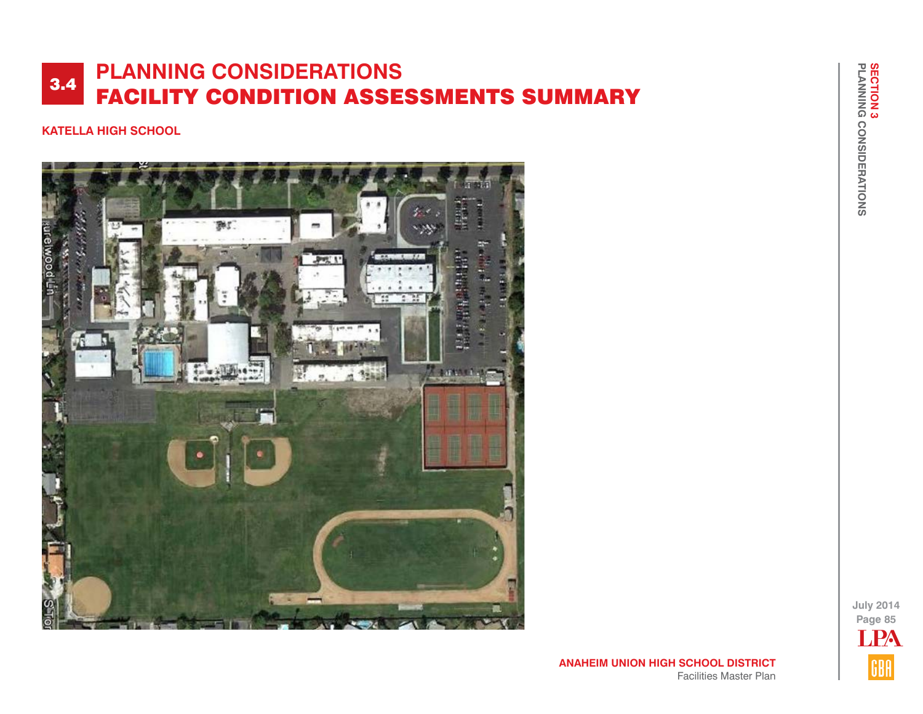## **KATELLA HIGH SCHOOL**



**July 2014 Page 85 TPA** GBA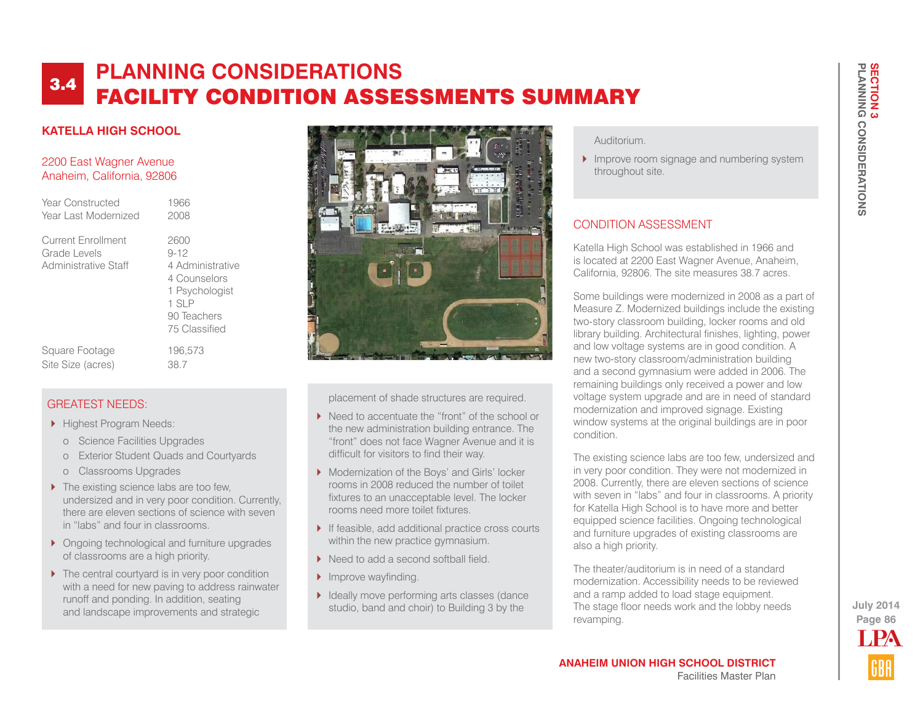## **KATELLA HIGH SCHOOL**

### 2200 East Wagner Avenue Anaheim, California, 92806

| Year Constructed                                           | 1966                                                                                                              |
|------------------------------------------------------------|-------------------------------------------------------------------------------------------------------------------|
| Year Last Modernized                                       | 2008                                                                                                              |
| Current Enrollment<br>Grade Levels<br>Administrative Staff | 2600<br>$9 - 12$<br>4 Administrative<br>4 Counselors<br>1 Psychologist<br>$1$ SIP<br>90 Teachers<br>75 Classified |
| Square Footage                                             | 196.573                                                                                                           |
| Site Size (acres)                                          | 38.7                                                                                                              |

## GREATEST NEEDS:

- **Highest Program Needs:** 
	- o Science Facilities Upgrades
	- o Exterior Student Quads and Courtyards
	- o Classrooms Upgrades
- ▶ The existing science labs are too few, undersized and in very poor condition. Currently, there are eleven sections of science with seven in "labs" and four in classrooms.
- ▶ Ongoing technological and furniture upgrades of classrooms are a high priority.
- ▶ The central courtyard is in very poor condition with a need for new paving to address rainwater runoff and ponding. In addition, seating and landscape improvements and strategic



placement of shade structures are required.

- ▶ Need to accentuate the "front" of the school or the new administration building entrance. The "front" does not face Wagner Avenue and it is difficult for visitors to find their way.
- **Modernization of the Boys' and Girls' locker** rooms in 2008 reduced the number of toilet fixtures to an unacceptable level. The locker rooms need more toilet fixtures.
- If feasible, add additional practice cross courts within the new practice gymnasium.
- ▶ Need to add a second softball field.
- Improve wayfinding.
- I Ideally move performing arts classes (dance studio, band and choir) to Building 3 by the

### Auditorium.

Improve room signage and numbering system throughout site.

## CONDITION ASSESSMENT

Katella High School was established in 1966 and is located at 2200 East Wagner Avenue, Anaheim, California, 92806. The site measures 38.7 acres.

Some buildings were modernized in 2008 as a part of Measure Z. Modernized buildings include the existing two-story classroom building, locker rooms and old library building. Architectural finishes, lighting, power and low voltage systems are in good condition. A new two-story classroom/administration building and a second gymnasium were added in 2006. The remaining buildings only received a power and low voltage system upgrade and are in need of standard modernization and improved signage. Existing window systems at the original buildings are in poor condition.

The existing science labs are too few, undersized and in very poor condition. They were not modernized in 2008. Currently, there are eleven sections of science with seven in "labs" and four in classrooms. A priority for Katella High School is to have more and better equipped science facilities. Ongoing technological and furniture upgrades of existing classrooms are also a high priority.

The theater/auditorium is in need of a standard modernization. Accessibility needs to be reviewed and a ramp added to load stage equipment. The stage floor needs work and the lobby needs revamping.

**Page 86 July 2014** LPA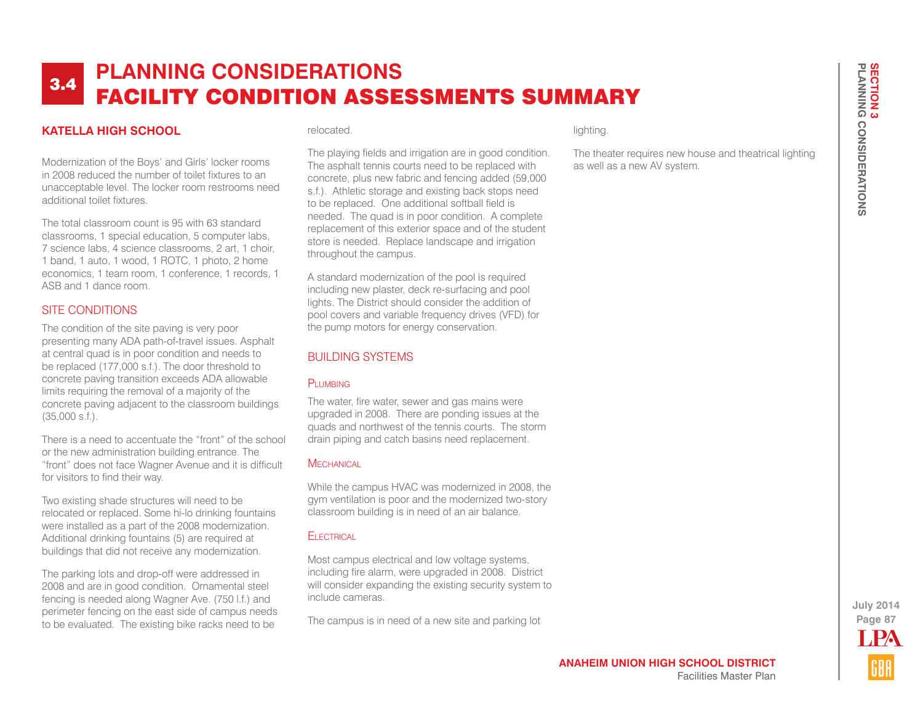## **KATELLA HIGH SCHOOL**

Modernization of the Boys' and Girls' locker rooms in 2008 reduced the number of toilet fixtures to an unacceptable level. The locker room restrooms need additional toilet fixtures.

The total classroom count is 95 with 63 standard classrooms, 1 special education, 5 computer labs, 7 science labs, 4 science classrooms, 2 art, 1 choir, 1 band, 1 auto, 1 wood, 1 ROTC, 1 photo, 2 home economics, 1 team room, 1 conference, 1 records, 1 ASB and 1 dance room.

### SITE CONDITIONS

The condition of the site paving is very poor presenting many ADA path-of-travel issues. Asphalt at central quad is in poor condition and needs to be replaced (177,000 s.f.). The door threshold to concrete paving transition exceeds ADA allowable limits requiring the removal of a majority of the concrete paving adjacent to the classroom buildings (35,000 s.f.).

There is a need to accentuate the "front" of the school or the new administration building entrance. The "front" does not face Wagner Avenue and it is difficult for visitors to find their way.

Two existing shade structures will need to be relocated or replaced. Some hi-lo drinking fountains were installed as a part of the 2008 modernization. Additional drinking fountains (5) are required at buildings that did not receive any modernization.

The parking lots and drop-off were addressed in 2008 and are in good condition. Ornamental steel fencing is needed along Wagner Ave. (750 l.f.) and perimeter fencing on the east side of campus needs to be evaluated. The existing bike racks need to be

#### relocated.

The playing fields and irrigation are in good condition. The asphalt tennis courts need to be replaced with concrete, plus new fabric and fencing added (59,000 s.f.). Athletic storage and existing back stops need to be replaced. One additional softball field is needed. The quad is in poor condition. A complete replacement of this exterior space and of the student store is needed. Replace landscape and irrigation throughout the campus.

A standard modernization of the pool is required including new plaster, deck re-surfacing and pool lights. The District should consider the addition of pool covers and variable frequency drives (VFD) for the pump motors for energy conservation.

## BUILDING SYSTEMS

#### PLUMBING

The water, fire water, sewer and gas mains were upgraded in 2008. There are ponding issues at the quads and northwest of the tennis courts. The storm drain piping and catch basins need replacement.

#### **MECHANICAL**

While the campus HVAC was modernized in 2008, the gym ventilation is poor and the modernized two-story classroom building is in need of an air balance.

### **FI ECTRICAL**

Most campus electrical and low voltage systems, including fire alarm, were upgraded in 2008. District will consider expanding the existing security system to include cameras.

The campus is in need of a new site and parking lot

### lighting.

The theater requires new house and theatrical lighting as well as a new AV system.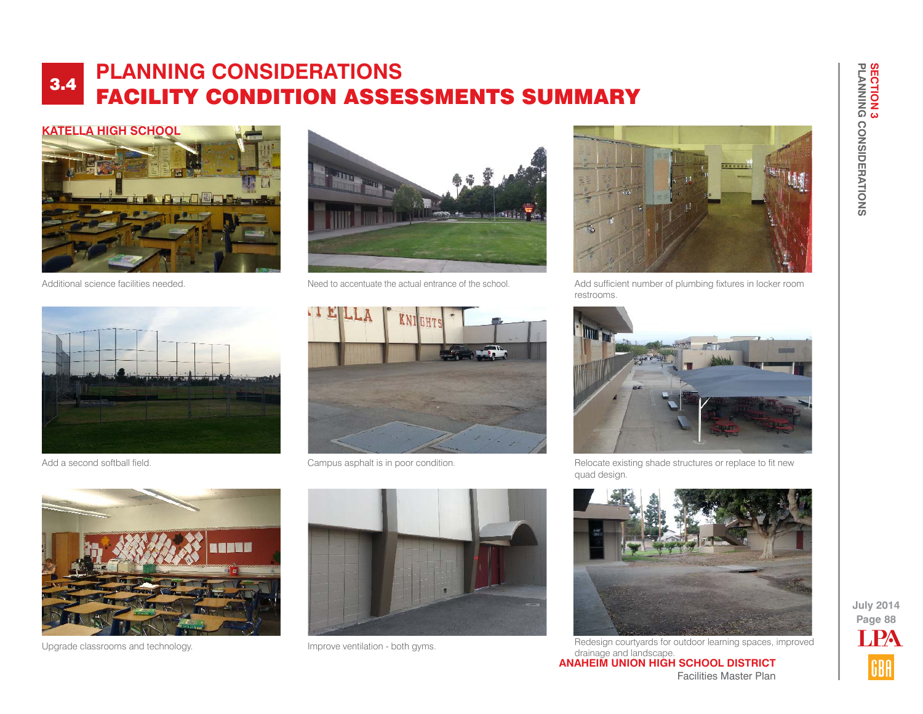





Additional science facilities needed. Need to accentuate the actual entrance of the school.



Add sufficient number of plumbing fixtures in locker room restrooms.



Add a second softball field. The campus asphalt is in poor condition.



Relocate existing shade structures or replace to fit new quad design.







**ANAHEIM UNION HIGH SCHOOL DISTRICT** Facilities Master Plan Upgrade classrooms and technology. **IMPROVE VENTILE CONSUMING THE CONSUMING TO A Redesign courtyards for outdoor learning spaces, improved** drainage and landscape.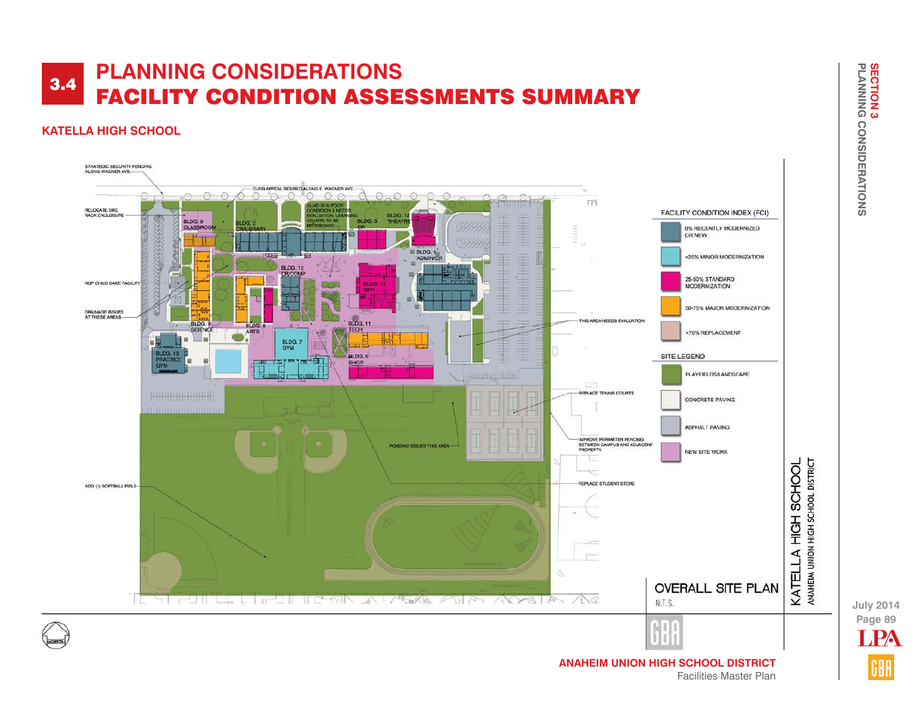## **KATELLA HIGH SCHOOL**



**Page 89 July 2014** LPA